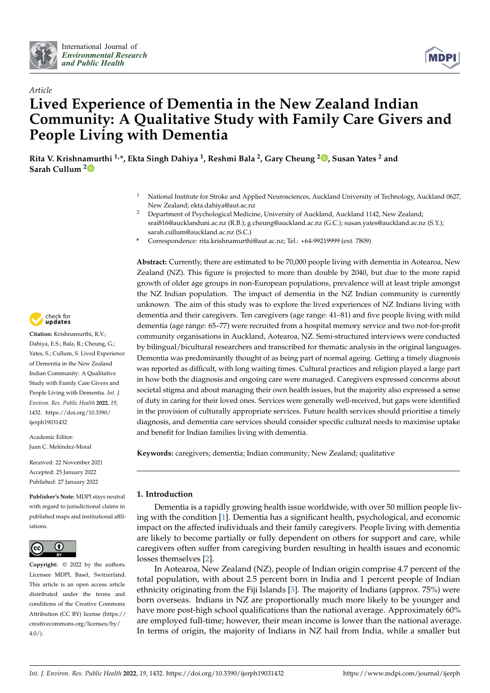



# *Article* **Lived Experience of Dementia in the New Zealand Indian Community: A Qualitative Study with Family Care Givers and People Living with Dementia**

**Rita V. Krishnamurthi 1,\*, Ekta Singh Dahiya <sup>1</sup> , Reshmi Bala <sup>2</sup> , Gary Cheung <sup>2</sup> [,](https://orcid.org/0000-0002-0239-9356) Susan Yates <sup>2</sup> and Sarah Cullum [2](https://orcid.org/0000-0003-0785-9101)**

- <sup>1</sup> National Institute for Stroke and Applied Neurosciences, Auckland University of Technology, Auckland 0627, New Zealand; ekta.dahiya@aut.ac.nz
- <sup>2</sup> Department of Psychological Medicine, University of Auckland, Auckland 1142, New Zealand; srai816@aucklanduni.ac.nz (R.B.); g.cheung@auckland.ac.nz (G.C.); susan.yates@auckland.ac.nz (S.Y.); sarah.cullum@auckland.ac.nz (S.C.)
- **\*** Correspondence: rita.krishnamurthi@aut.ac.nz; Tel.: +64-99219999 (ext. 7809)

**Abstract:** Currently, there are estimated to be 70,000 people living with dementia in Aotearoa, New Zealand (NZ). This figure is projected to more than double by 2040, but due to the more rapid growth of older age groups in non-European populations, prevalence will at least triple amongst the NZ Indian population. The impact of dementia in the NZ Indian community is currently unknown. The aim of this study was to explore the lived experiences of NZ Indians living with dementia and their caregivers. Ten caregivers (age range: 41–81) and five people living with mild dementia (age range: 65–77) were recruited from a hospital memory service and two not-for-profit community organisations in Auckland, Aotearoa, NZ. Semi-structured interviews were conducted by bilingual/bicultural researchers and transcribed for thematic analysis in the original languages. Dementia was predominantly thought of as being part of normal ageing. Getting a timely diagnosis was reported as difficult, with long waiting times. Cultural practices and religion played a large part in how both the diagnosis and ongoing care were managed. Caregivers expressed concerns about societal stigma and about managing their own health issues, but the majority also expressed a sense of duty in caring for their loved ones. Services were generally well-received, but gaps were identified in the provision of culturally appropriate services. Future health services should prioritise a timely diagnosis, and dementia care services should consider specific cultural needs to maximise uptake and benefit for Indian families living with dementia.

**Keywords:** caregivers; dementia; Indian community; New Zealand; qualitative

# **1. Introduction**

Dementia is a rapidly growing health issue worldwide, with over 50 million people living with the condition [\[1\]](#page-13-0). Dementia has a significant health, psychological, and economic impact on the affected individuals and their family caregivers. People living with dementia are likely to become partially or fully dependent on others for support and care, while caregivers often suffer from caregiving burden resulting in health issues and economic losses themselves [\[2\]](#page-13-1).

In Aotearoa, New Zealand (NZ), people of Indian origin comprise 4.7 percent of the total population, with about 2.5 percent born in India and 1 percent people of Indian ethnicity originating from the Fiji Islands [\[3\]](#page-13-2). The majority of Indians (approx. 75%) were born overseas. Indians in NZ are proportionally much more likely to be younger and have more post-high school qualifications than the national average. Approximately 60% are employed full-time; however, their mean income is lower than the national average. In terms of origin, the majority of Indians in NZ hail from India, while a smaller but



**Citation:** Krishnamurthi, R.V.; Dahiya, E.S.; Bala, R.; Cheung, G.; Yates, S.; Cullum, S. Lived Experience of Dementia in the New Zealand Indian Community: A Qualitative Study with Family Care Givers and People Living with Dementia. *Int. J. Environ. Res. Public Health* **2022**, *19*, 1432. [https://doi.org/10.3390/](https://doi.org/10.3390/ijerph19031432) [ijerph19031432](https://doi.org/10.3390/ijerph19031432)

Academic Editor: Juan C. Meléndez-Moral

Received: 22 November 2021 Accepted: 25 January 2022 Published: 27 January 2022

**Publisher's Note:** MDPI stays neutral with regard to jurisdictional claims in published maps and institutional affiliations.



**Copyright:** © 2022 by the authors. Licensee MDPI, Basel, Switzerland. This article is an open access article distributed under the terms and conditions of the Creative Commons Attribution (CC BY) license [\(https://](https://creativecommons.org/licenses/by/4.0/) [creativecommons.org/licenses/by/](https://creativecommons.org/licenses/by/4.0/)  $4.0/$ ).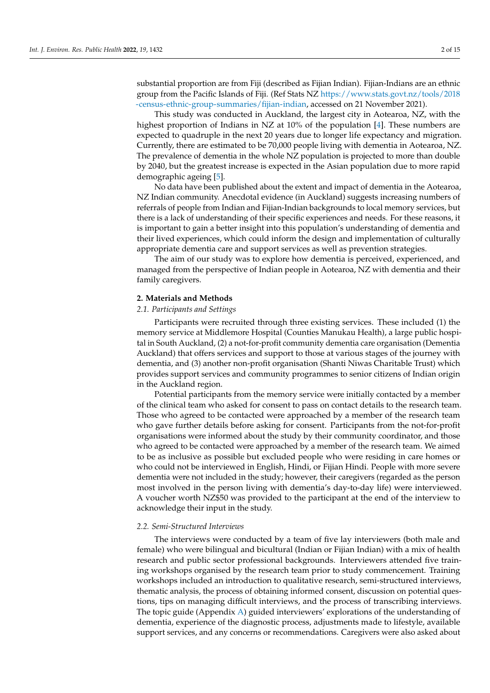substantial proportion are from Fiji (described as Fijian Indian). Fijian-Indians are an ethnic group from the Pacific Islands of Fiji. (Ref Stats NZ [https://www.stats.govt.nz/tools/2018](https://www.stats.govt.nz/tools/2018-census-ethnic-group-summaries/fijian-indian) [-census-ethnic-group-summaries/fijian-indian,](https://www.stats.govt.nz/tools/2018-census-ethnic-group-summaries/fijian-indian) accessed on 21 November 2021).

This study was conducted in Auckland, the largest city in Aotearoa, NZ, with the highest proportion of Indians in NZ at 10% of the population [\[4\]](#page-13-3). These numbers are expected to quadruple in the next 20 years due to longer life expectancy and migration. Currently, there are estimated to be 70,000 people living with dementia in Aotearoa, NZ. The prevalence of dementia in the whole NZ population is projected to more than double by 2040, but the greatest increase is expected in the Asian population due to more rapid demographic ageing [\[5\]](#page-13-4).

No data have been published about the extent and impact of dementia in the Aotearoa, NZ Indian community. Anecdotal evidence (in Auckland) suggests increasing numbers of referrals of people from Indian and Fijian-Indian backgrounds to local memory services, but there is a lack of understanding of their specific experiences and needs. For these reasons, it is important to gain a better insight into this population's understanding of dementia and their lived experiences, which could inform the design and implementation of culturally appropriate dementia care and support services as well as prevention strategies.

The aim of our study was to explore how dementia is perceived, experienced, and managed from the perspective of Indian people in Aotearoa, NZ with dementia and their family caregivers.

#### **2. Materials and Methods**

### *2.1. Participants and Settings*

Participants were recruited through three existing services. These included (1) the memory service at Middlemore Hospital (Counties Manukau Health), a large public hospital in South Auckland, (2) a not-for-profit community dementia care organisation (Dementia Auckland) that offers services and support to those at various stages of the journey with dementia, and (3) another non-profit organisation (Shanti Niwas Charitable Trust) which provides support services and community programmes to senior citizens of Indian origin in the Auckland region.

Potential participants from the memory service were initially contacted by a member of the clinical team who asked for consent to pass on contact details to the research team. Those who agreed to be contacted were approached by a member of the research team who gave further details before asking for consent. Participants from the not-for-profit organisations were informed about the study by their community coordinator, and those who agreed to be contacted were approached by a member of the research team. We aimed to be as inclusive as possible but excluded people who were residing in care homes or who could not be interviewed in English, Hindi, or Fijian Hindi. People with more severe dementia were not included in the study; however, their caregivers (regarded as the person most involved in the person living with dementia's day-to-day life) were interviewed. A voucher worth NZ\$50 was provided to the participant at the end of the interview to acknowledge their input in the study.

## *2.2. Semi-Structured Interviews*

The interviews were conducted by a team of five lay interviewers (both male and female) who were bilingual and bicultural (Indian or Fijian Indian) with a mix of health research and public sector professional backgrounds. Interviewers attended five training workshops organised by the research team prior to study commencement. Training workshops included an introduction to qualitative research, semi-structured interviews, thematic analysis, the process of obtaining informed consent, discussion on potential questions, tips on managing difficult interviews, and the process of transcribing interviews. The topic guide (Appendix [A\)](#page-12-0) guided interviewers' explorations of the understanding of dementia, experience of the diagnostic process, adjustments made to lifestyle, available support services, and any concerns or recommendations. Caregivers were also asked about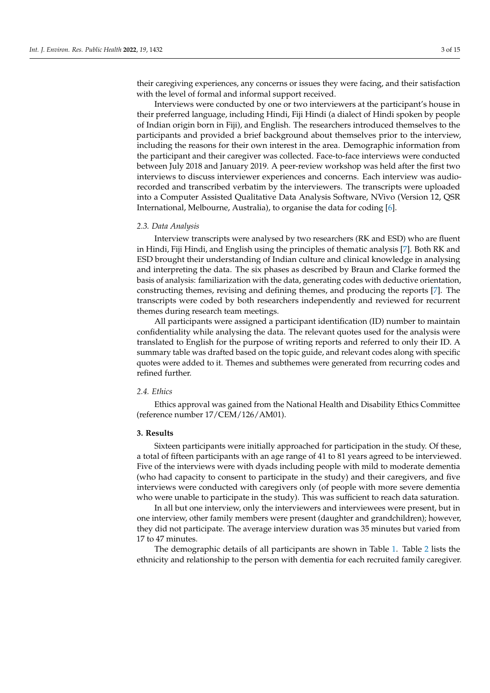their caregiving experiences, any concerns or issues they were facing, and their satisfaction with the level of formal and informal support received.

Interviews were conducted by one or two interviewers at the participant's house in their preferred language, including Hindi, Fiji Hindi (a dialect of Hindi spoken by people of Indian origin born in Fiji), and English. The researchers introduced themselves to the participants and provided a brief background about themselves prior to the interview, including the reasons for their own interest in the area. Demographic information from the participant and their caregiver was collected. Face-to-face interviews were conducted between July 2018 and January 2019. A peer-review workshop was held after the first two interviews to discuss interviewer experiences and concerns. Each interview was audiorecorded and transcribed verbatim by the interviewers. The transcripts were uploaded into a Computer Assisted Qualitative Data Analysis Software, NVivo (Version 12, QSR International, Melbourne, Australia), to organise the data for coding [\[6\]](#page-13-5).

#### *2.3. Data Analysis*

Interview transcripts were analysed by two researchers (RK and ESD) who are fluent in Hindi, Fiji Hindi, and English using the principles of thematic analysis [\[7\]](#page-13-6). Both RK and ESD brought their understanding of Indian culture and clinical knowledge in analysing and interpreting the data. The six phases as described by Braun and Clarke formed the basis of analysis: familiarization with the data, generating codes with deductive orientation, constructing themes, revising and defining themes, and producing the reports [\[7\]](#page-13-6). The transcripts were coded by both researchers independently and reviewed for recurrent themes during research team meetings.

All participants were assigned a participant identification (ID) number to maintain confidentiality while analysing the data. The relevant quotes used for the analysis were translated to English for the purpose of writing reports and referred to only their ID. A summary table was drafted based on the topic guide, and relevant codes along with specific quotes were added to it. Themes and subthemes were generated from recurring codes and refined further.

# *2.4. Ethics*

Ethics approval was gained from the National Health and Disability Ethics Committee (reference number 17/CEM/126/AM01).

### **3. Results**

Sixteen participants were initially approached for participation in the study. Of these, a total of fifteen participants with an age range of 41 to 81 years agreed to be interviewed. Five of the interviews were with dyads including people with mild to moderate dementia (who had capacity to consent to participate in the study) and their caregivers, and five interviews were conducted with caregivers only (of people with more severe dementia who were unable to participate in the study). This was sufficient to reach data saturation.

In all but one interview, only the interviewers and interviewees were present, but in one interview, other family members were present (daughter and grandchildren); however, they did not participate. The average interview duration was 35 minutes but varied from 17 to 47 minutes.

The demographic details of all participants are shown in Table [1.](#page-3-0) Table [2](#page-3-1) lists the ethnicity and relationship to the person with dementia for each recruited family caregiver.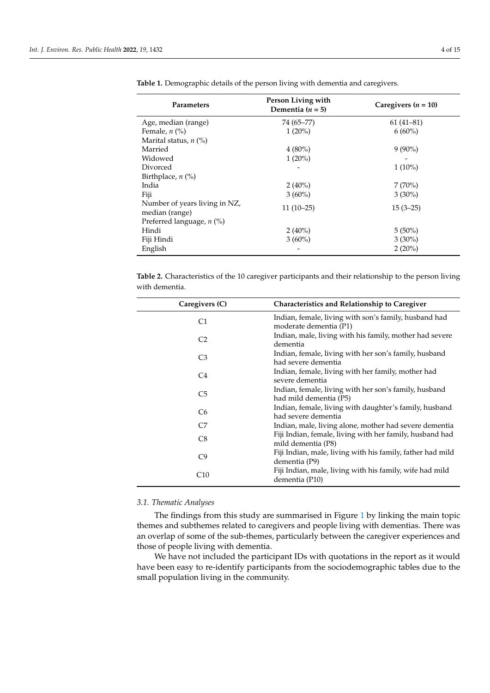| Parameters                                      | Person Living with<br>Dementia ( $n = 5$ ) | Caregivers $(n = 10)$ |
|-------------------------------------------------|--------------------------------------------|-----------------------|
| Age, median (range)                             | 74 (65–77)                                 | $61(41-81)$           |
| Female, $n$ (%)                                 | $1(20\%)$                                  | $6(60\%)$             |
| Marital status, $n$ (%)                         |                                            |                       |
| Married                                         | $4(80\%)$                                  | $9(90\%)$             |
| Widowed                                         | $1(20\%)$                                  |                       |
| Divorced                                        |                                            | $1(10\%)$             |
| Birthplace, $n$ (%)                             |                                            |                       |
| India                                           | $2(40\%)$                                  | 7(70%)                |
| Fiji                                            | $3(60\%)$                                  | $3(30\%)$             |
| Number of years living in NZ,<br>median (range) | $11(10-25)$                                | $15(3-25)$            |
| Preferred language, $n$ (%)                     |                                            |                       |
| Hindi                                           | $2(40\%)$                                  | $5(50\%)$             |
| Fiji Hindi                                      | $3(60\%)$                                  | $3(30\%)$             |
| English                                         |                                            | $2(20\%)$             |

<span id="page-3-0"></span>**Table 1.** Demographic details of the person living with dementia and caregivers.

<span id="page-3-1"></span>**Table 2.** Characteristics of the 10 caregiver participants and their relationship to the person living with dementia.

| Caregivers (C) | Characteristics and Relationship to Caregiver                                   |
|----------------|---------------------------------------------------------------------------------|
| C1             | Indian, female, living with son's family, husband had<br>moderate dementia (P1) |
| C <sub>2</sub> | Indian, male, living with his family, mother had severe<br>dementia             |
| C <sub>3</sub> | Indian, female, living with her son's family, husband<br>had severe dementia    |
| C4             | Indian, female, living with her family, mother had<br>severe dementia           |
| C <sub>5</sub> | Indian, female, living with her son's family, husband<br>had mild dementia (P5) |
| C <sub>6</sub> | Indian, female, living with daughter's family, husband<br>had severe dementia   |
| C7             | Indian, male, living alone, mother had severe dementia                          |
| C <sub>8</sub> | Fiji Indian, female, living with her family, husband had<br>mild dementia (P8)  |
| C9             | Fiji Indian, male, living with his family, father had mild<br>dementia (P9)     |
| C10            | Fiji Indian, male, living with his family, wife had mild<br>dementia (P10)      |

## *3.1. Thematic Analyses*

 $\overline{\phantom{a}}$  $\overline{a}$ 

The findings from this study are summarised in Figure [1](#page-4-0) by linking the main topic themes and subthemes related to caregivers and people living with dementias. There was an overlap of some of the sub-themes, particularly between the caregiver experiences and those of people living with dementia.

We have not included the participant IDs with quotations in the report as it would have been easy to re-identify participants from the sociodemographic tables due to the small population living in the community.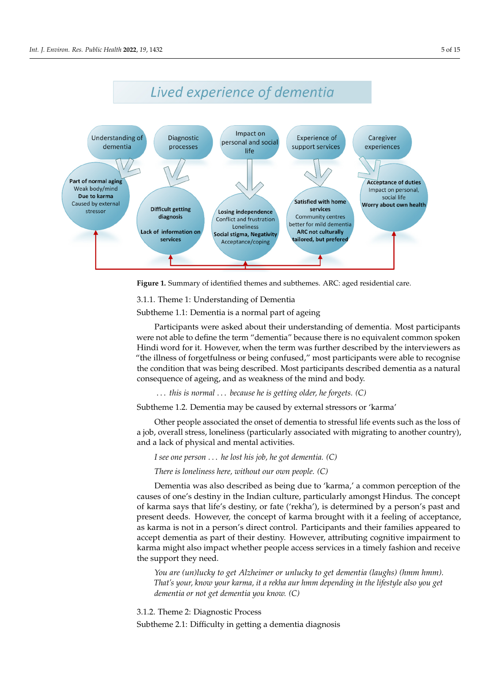<span id="page-4-0"></span>

**Figure 1.** Summary of identified themes and subthemes. ARC: aged residential care.

# 3.1.1. Theme 1: Understanding of Dementia

Subtheme 1.1: Dementia is a normal part of ageing

Participants were asked about their understanding of dementia. Most participants Hindi word for it. However, when the term was further described by the interviewers as "the illness of forgetfulness or being confused," most participants were able to recognise the condition that was being described. Most participants described dementia as a natural consequence of ageing, and as weakness of the mind and body. were not able to define the term "dementia" because there is no equivalent common spoken

... this is normal ... *because he is getting older, he forgets.* (C)

Subtheme 1.2. Dementia may be caused by external stressors or 'karma'

Other people associated the onset of dementia to stressful life events such as the loss of a job, overall stress, loneliness (particularly associated with migrating to another country), and a lack of physical and mental activities.

*I see one person* . . . *he lost his job, he got dementia.* (C)

*There is loneliness here, without our own people.* (C)

Dementia was also described as being due to 'karma,' a common perception of the *There is loneliness here, without our own people. (C)*  causes of one's destiny in the Indian culture, particularly amongst Hindus. The concept or karma says that me's destiny, or rate (Tekna ), is determined by a person's past and<br>present deeds. However, the concept of karma brought with it a feeling of acceptance, as karma is not in a person's direct control. Participants and their families appeared to accept dementia as part of their destiny. However, attributing cognitive impairment to karma might also impact whether people access services in a timely fashion and receive the support they need. Participants and the support they need. of karma says that life's destiny, or fate ('rekha'), is determined by a person's past and

*You are (un)lucky to get Alzheimer or unlucky to get dementia (laughs) (hmm hmm).* might also impact whether people access services in a timely fashion and receive the sup-*That's your, know your karma, it a rekha aur hmm depending in the lifestyle also you get* dementia or not get dementia you know. (C)

*You are (un)lucky to get Alzheimer or unlucky to get dementia (laughs) (hmm hmm).*  3.1.2. Theme 2: Diagnostic Process

*That's your, know your karma, it a rekha aur hmm depending in the lifestyle also you get dementia or not get dementia you know. (C)* Subtheme 2.1: Difficulty in getting a dementia diagnosis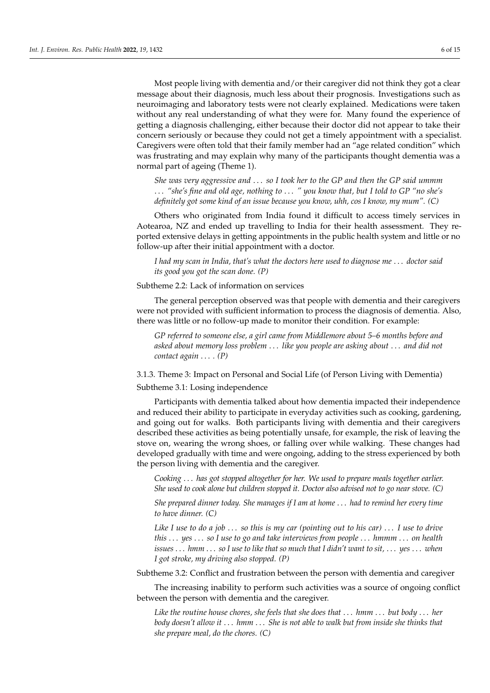Most people living with dementia and/or their caregiver did not think they got a clear message about their diagnosis, much less about their prognosis. Investigations such as neuroimaging and laboratory tests were not clearly explained. Medications were taken without any real understanding of what they were for. Many found the experience of getting a diagnosis challenging, either because their doctor did not appear to take their concern seriously or because they could not get a timely appointment with a specialist. Caregivers were often told that their family member had an "age related condition" which was frustrating and may explain why many of the participants thought dementia was a normal part of ageing (Theme 1).

*She was very aggressive and* . . . *so I took her to the GP and then the GP said ummm* . . . *"she's fine and old age, nothing to* . . . *" you know that, but I told to GP "no she's definitely got some kind of an issue because you know, uhh, cos I know, my mum". (C)*

Others who originated from India found it difficult to access timely services in Aotearoa, NZ and ended up travelling to India for their health assessment. They reported extensive delays in getting appointments in the public health system and little or no follow-up after their initial appointment with a doctor.

*I had my scan in India, that's what the doctors here used to diagnose me* . . . *doctor said its good you got the scan done. (P)*

Subtheme 2.2: Lack of information on services

The general perception observed was that people with dementia and their caregivers were not provided with sufficient information to process the diagnosis of dementia. Also, there was little or no follow-up made to monitor their condition. For example:

*GP referred to someone else, a girl came from Middlemore about 5–6 months before and asked about memory loss problem* . . . *like you people are asking about* . . . *and did not contact again* . . . *. (P)*

3.1.3. Theme 3: Impact on Personal and Social Life (of Person Living with Dementia) Subtheme 3.1: Losing independence

Participants with dementia talked about how dementia impacted their independence and reduced their ability to participate in everyday activities such as cooking, gardening, and going out for walks. Both participants living with dementia and their caregivers described these activities as being potentially unsafe, for example, the risk of leaving the stove on, wearing the wrong shoes, or falling over while walking. These changes had developed gradually with time and were ongoing, adding to the stress experienced by both the person living with dementia and the caregiver.

*Cooking* . . . *has got stopped altogether for her. We used to prepare meals together earlier. She used to cook alone but children stopped it. Doctor also advised not to go near stove. (C)*

*She prepared dinner today. She manages if I am at home* . . . *had to remind her every time to have dinner. (C)*

*Like I use to do a job* . . . *so this is my car (pointing out to his car)* . . . *I use to drive this* . . . *yes* . . . *so I use to go and take interviews from people* . . . *hmmm* . . . *on health issues* . . . *hmm* . . . *so I use to like that so much that I didn't want to sit,* . . . *yes* . . . *when I got stroke, my driving also stopped. (P)*

Subtheme 3.2: Conflict and frustration between the person with dementia and caregiver

The increasing inability to perform such activities was a source of ongoing conflict between the person with dementia and the caregiver.

*Like the routine house chores, she feels that she does that* . . . *hmm* . . . *but body* . . . *her body doesn't allow it* . . . *hmm* . . . *She is not able to walk but from inside she thinks that she prepare meal, do the chores. (C)*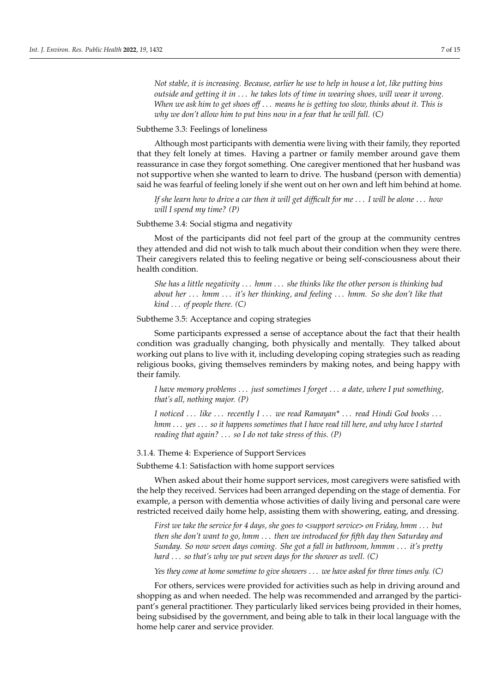*Not stable, it is increasing. Because, earlier he use to help in house a lot, like putting bins outside and getting it in* . . . *he takes lots of time in wearing shoes, will wear it wrong. When we ask him to get shoes off* . . . *means he is getting too slow, thinks about it. This is why we don't allow him to put bins now in a fear that he will fall. (C)*

Subtheme 3.3: Feelings of loneliness

Although most participants with dementia were living with their family, they reported that they felt lonely at times. Having a partner or family member around gave them reassurance in case they forgot something. One caregiver mentioned that her husband was not supportive when she wanted to learn to drive. The husband (person with dementia) said he was fearful of feeling lonely if she went out on her own and left him behind at home.

*If she learn how to drive a car then it will get difficult for me* . . . *I will be alone* . . . *how will I spend my time? (P)*

Subtheme 3.4: Social stigma and negativity

Most of the participants did not feel part of the group at the community centres they attended and did not wish to talk much about their condition when they were there. Their caregivers related this to feeling negative or being self-consciousness about their health condition.

*She has a little negativity* . . . *hmm* . . . *she thinks like the other person is thinking bad about her* . . . *hmm* . . . *it's her thinking, and feeling* . . . *hmm. So she don't like that kind* . . . *of people there. (C)*

Subtheme 3.5: Acceptance and coping strategies

Some participants expressed a sense of acceptance about the fact that their health condition was gradually changing, both physically and mentally. They talked about working out plans to live with it, including developing coping strategies such as reading religious books, giving themselves reminders by making notes, and being happy with their family.

*I have memory problems* . . . *just sometimes I forget* . . . *a date, where I put something, that's all, nothing major. (P)*

*I noticed* . . . *like* . . . *recently I* . . . *we read Ramayan\** . . . *read Hindi God books* . . . *hmm* . . . *yes* . . . *so it happens sometimes that I have read till here, and why have I started reading that again?* . . . *so I do not take stress of this. (P)*

3.1.4. Theme 4: Experience of Support Services

Subtheme 4.1: Satisfaction with home support services

When asked about their home support services, most caregivers were satisfied with the help they received. Services had been arranged depending on the stage of dementia. For example, a person with dementia whose activities of daily living and personal care were restricted received daily home help, assisting them with showering, eating, and dressing.

*First we take the service for 4 days, she goes to <support service> on Friday, hmm* . . . *but then she don't want to go, hmm* . . . *then we introduced for fifth day then Saturday and Sunday. So now seven days coming. She got a fall in bathroom, hmmm* . . . *it's pretty hard* . . . *so that's why we put seven days for the shower as well. (C)*

*Yes they come at home sometime to give showers* . . . *we have asked for three times only. (C)*

For others, services were provided for activities such as help in driving around and shopping as and when needed. The help was recommended and arranged by the participant's general practitioner. They particularly liked services being provided in their homes, being subsidised by the government, and being able to talk in their local language with the home help carer and service provider.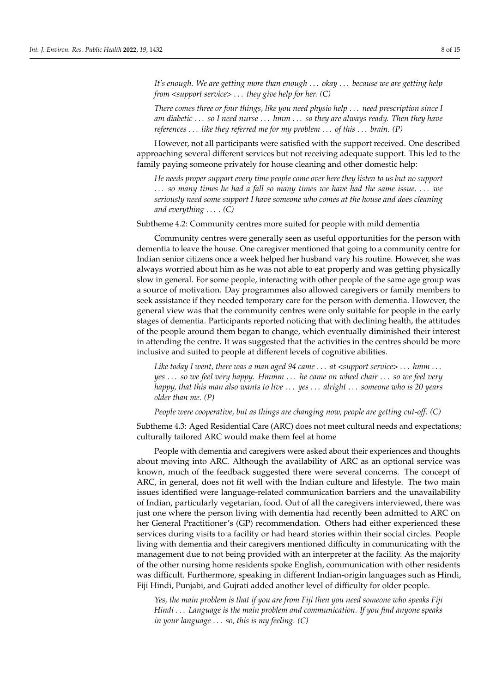*It's enough. We are getting more than enough* . . . *okay* . . . *because we are getting help from <support service>* . . . *they give help for her. (C)*

*There comes three or four things, like you need physio help* . . . *need prescription since I am diabetic* . . . *so I need nurse* . . . *hmm* . . . *so they are always ready. Then they have references* . . . *like they referred me for my problem* . . . *of this* . . . *brain. (P)*

However, not all participants were satisfied with the support received. One described approaching several different services but not receiving adequate support. This led to the family paying someone privately for house cleaning and other domestic help:

*He needs proper support every time people come over here they listen to us but no support* . . . *so many times he had a fall so many times we have had the same issue.* . . . *we seriously need some support I have someone who comes at the house and does cleaning and everything* . . . *. (C)*

Subtheme 4.2: Community centres more suited for people with mild dementia

Community centres were generally seen as useful opportunities for the person with dementia to leave the house. One caregiver mentioned that going to a community centre for Indian senior citizens once a week helped her husband vary his routine. However, she was always worried about him as he was not able to eat properly and was getting physically slow in general. For some people, interacting with other people of the same age group was a source of motivation. Day programmes also allowed caregivers or family members to seek assistance if they needed temporary care for the person with dementia. However, the general view was that the community centres were only suitable for people in the early stages of dementia. Participants reported noticing that with declining health, the attitudes of the people around them began to change, which eventually diminished their interest in attending the centre. It was suggested that the activities in the centres should be more inclusive and suited to people at different levels of cognitive abilities.

*Like today I went, there was a man aged 94 came* . . . *at <support service>* . . . *hmm* . . . *yes* . . . *so we feel very happy. Hmmm* . . . *he came on wheel chair* . . . *so we feel very happy, that this man also wants to live* . . . *yes* . . . *alright* . . . *someone who is 20 years older than me. (P)*

*People were cooperative, but as things are changing now, people are getting cut-off. (C)*

Subtheme 4.3: Aged Residential Care (ARC) does not meet cultural needs and expectations; culturally tailored ARC would make them feel at home

People with dementia and caregivers were asked about their experiences and thoughts about moving into ARC. Although the availability of ARC as an optional service was known, much of the feedback suggested there were several concerns. The concept of ARC, in general, does not fit well with the Indian culture and lifestyle. The two main issues identified were language-related communication barriers and the unavailability of Indian, particularly vegetarian, food. Out of all the caregivers interviewed, there was just one where the person living with dementia had recently been admitted to ARC on her General Practitioner's (GP) recommendation. Others had either experienced these services during visits to a facility or had heard stories within their social circles. People living with dementia and their caregivers mentioned difficulty in communicating with the management due to not being provided with an interpreter at the facility. As the majority of the other nursing home residents spoke English, communication with other residents was difficult. Furthermore, speaking in different Indian-origin languages such as Hindi, Fiji Hindi, Punjabi, and Gujrati added another level of difficulty for older people.

*Yes, the main problem is that if you are from Fiji then you need someone who speaks Fiji Hindi* . . . *Language is the main problem and communication. If you find anyone speaks in your language* . . . *so, this is my feeling. (C)*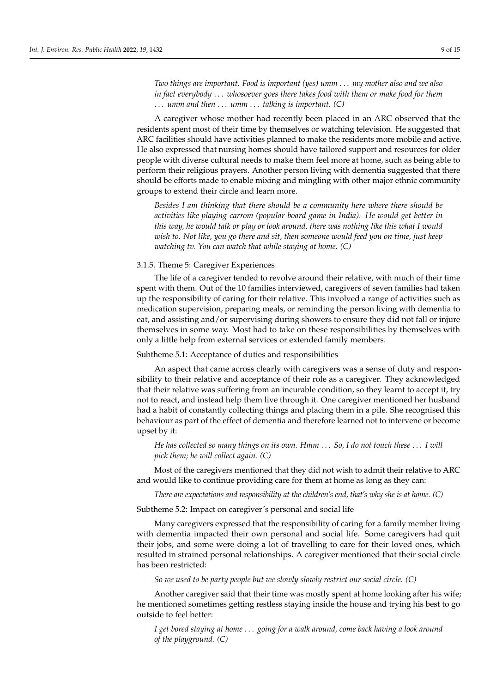*Two things are important. Food is important (yes) umm* . . . *my mother also and we also in fact everybody* . . . *whosoever goes there takes food with them or make food for them* . . . *umm and then* . . . *umm* . . . *talking is important. (C)*

A caregiver whose mother had recently been placed in an ARC observed that the residents spent most of their time by themselves or watching television. He suggested that ARC facilities should have activities planned to make the residents more mobile and active. He also expressed that nursing homes should have tailored support and resources for older people with diverse cultural needs to make them feel more at home, such as being able to perform their religious prayers. Another person living with dementia suggested that there should be efforts made to enable mixing and mingling with other major ethnic community groups to extend their circle and learn more.

*Besides I am thinking that there should be a community here where there should be activities like playing carrom (popular board game in India). He would get better in this way, he would talk or play or look around, there was nothing like this what I would wish to. Not like, you go there and sit, then someone would feed you on time, just keep watching tv. You can watch that while staying at home. (C)*

# 3.1.5. Theme 5: Caregiver Experiences

The life of a caregiver tended to revolve around their relative, with much of their time spent with them. Out of the 10 families interviewed, caregivers of seven families had taken up the responsibility of caring for their relative. This involved a range of activities such as medication supervision, preparing meals, or reminding the person living with dementia to eat, and assisting and/or supervising during showers to ensure they did not fall or injure themselves in some way. Most had to take on these responsibilities by themselves with only a little help from external services or extended family members.

#### Subtheme 5.1: Acceptance of duties and responsibilities

An aspect that came across clearly with caregivers was a sense of duty and responsibility to their relative and acceptance of their role as a caregiver. They acknowledged that their relative was suffering from an incurable condition, so they learnt to accept it, try not to react, and instead help them live through it. One caregiver mentioned her husband had a habit of constantly collecting things and placing them in a pile. She recognised this behaviour as part of the effect of dementia and therefore learned not to intervene or become upset by it:

# *He has collected so many things on its own. Hmm* . . . *So, I do not touch these* . . . *I will pick them; he will collect again. (C)*

Most of the caregivers mentioned that they did not wish to admit their relative to ARC and would like to continue providing care for them at home as long as they can:

*There are expectations and responsibility at the children's end, that's why she is at home. (C)*

Subtheme 5.2: Impact on caregiver's personal and social life

Many caregivers expressed that the responsibility of caring for a family member living with dementia impacted their own personal and social life. Some caregivers had quit their jobs, and some were doing a lot of travelling to care for their loved ones, which resulted in strained personal relationships. A caregiver mentioned that their social circle has been restricted:

*So we used to be party people but we slowly slowly restrict our social circle. (C)*

Another caregiver said that their time was mostly spent at home looking after his wife; he mentioned sometimes getting restless staying inside the house and trying his best to go outside to feel better:

*I get bored staying at home* . . . *going for a walk around, come back having a look around of the playground. (C)*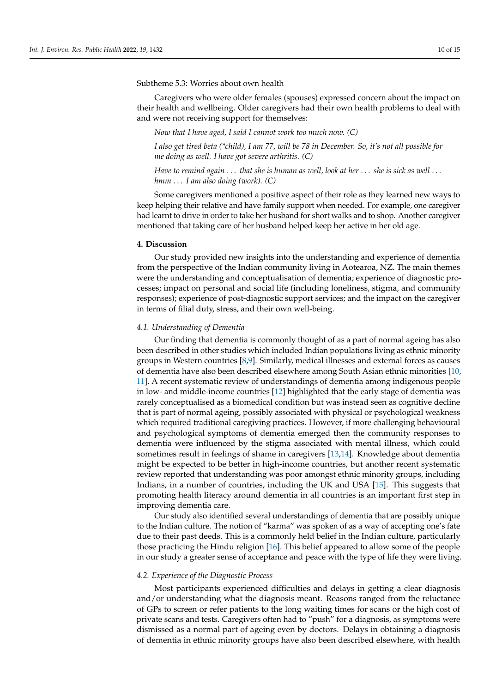#### Subtheme 5.3: Worries about own health

Caregivers who were older females (spouses) expressed concern about the impact on their health and wellbeing. Older caregivers had their own health problems to deal with and were not receiving support for themselves:

*Now that I have aged, I said I cannot work too much now. (C)*

*I also get tired beta (\*child), I am 77, will be 78 in December. So, it's not all possible for me doing as well. I have got severe arthritis. (C)*

*Have to remind again* . . . *that she is human as well, look at her* . . . *she is sick as well* . . . *hmm* . . . *I am also doing (work). (C)*

Some caregivers mentioned a positive aspect of their role as they learned new ways to keep helping their relative and have family support when needed. For example, one caregiver had learnt to drive in order to take her husband for short walks and to shop. Another caregiver mentioned that taking care of her husband helped keep her active in her old age.

#### **4. Discussion**

Our study provided new insights into the understanding and experience of dementia from the perspective of the Indian community living in Aotearoa, NZ. The main themes were the understanding and conceptualisation of dementia; experience of diagnostic processes; impact on personal and social life (including loneliness, stigma, and community responses); experience of post-diagnostic support services; and the impact on the caregiver in terms of filial duty, stress, and their own well-being.

## *4.1. Understanding of Dementia*

Our finding that dementia is commonly thought of as a part of normal ageing has also been described in other studies which included Indian populations living as ethnic minority groups in Western countries [\[8](#page-13-7)[,9\]](#page-13-8). Similarly, medical illnesses and external forces as causes of dementia have also been described elsewhere among South Asian ethnic minorities [\[10,](#page-13-9) [11\]](#page-13-10). A recent systematic review of understandings of dementia among indigenous people in low- and middle-income countries [\[12\]](#page-13-11) highlighted that the early stage of dementia was rarely conceptualised as a biomedical condition but was instead seen as cognitive decline that is part of normal ageing, possibly associated with physical or psychological weakness which required traditional caregiving practices. However, if more challenging behavioural and psychological symptoms of dementia emerged then the community responses to dementia were influenced by the stigma associated with mental illness, which could sometimes result in feelings of shame in caregivers [\[13](#page-13-12)[,14\]](#page-13-13). Knowledge about dementia might be expected to be better in high-income countries, but another recent systematic review reported that understanding was poor amongst ethnic minority groups, including Indians, in a number of countries, including the UK and USA [\[15\]](#page-14-0). This suggests that promoting health literacy around dementia in all countries is an important first step in improving dementia care.

Our study also identified several understandings of dementia that are possibly unique to the Indian culture. The notion of "karma" was spoken of as a way of accepting one's fate due to their past deeds. This is a commonly held belief in the Indian culture, particularly those practicing the Hindu religion [\[16\]](#page-14-1). This belief appeared to allow some of the people in our study a greater sense of acceptance and peace with the type of life they were living.

#### *4.2. Experience of the Diagnostic Process*

Most participants experienced difficulties and delays in getting a clear diagnosis and/or understanding what the diagnosis meant. Reasons ranged from the reluctance of GPs to screen or refer patients to the long waiting times for scans or the high cost of private scans and tests. Caregivers often had to "push" for a diagnosis, as symptoms were dismissed as a normal part of ageing even by doctors. Delays in obtaining a diagnosis of dementia in ethnic minority groups have also been described elsewhere, with health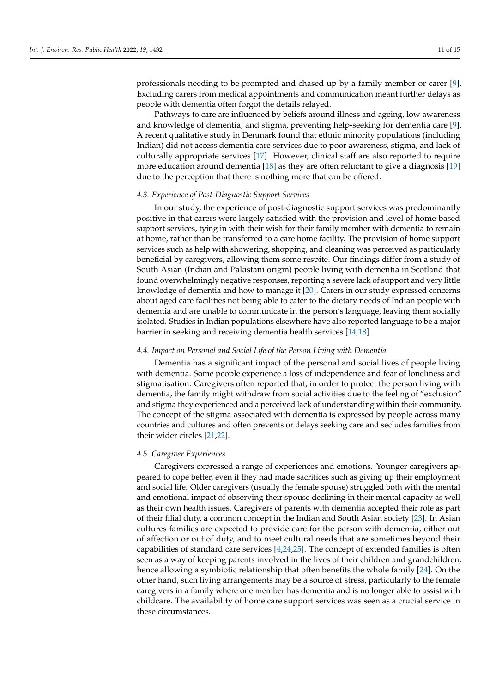professionals needing to be prompted and chased up by a family member or carer [\[9\]](#page-13-8). Excluding carers from medical appointments and communication meant further delays as people with dementia often forgot the details relayed.

Pathways to care are influenced by beliefs around illness and ageing, low awareness and knowledge of dementia, and stigma, preventing help-seeking for dementia care [\[9\]](#page-13-8). A recent qualitative study in Denmark found that ethnic minority populations (including Indian) did not access dementia care services due to poor awareness, stigma, and lack of culturally appropriate services [\[17\]](#page-14-2). However, clinical staff are also reported to require more education around dementia [\[18\]](#page-14-3) as they are often reluctant to give a diagnosis [\[19\]](#page-14-4) due to the perception that there is nothing more that can be offered.

#### *4.3. Experience of Post-Diagnostic Support Services*

In our study, the experience of post-diagnostic support services was predominantly positive in that carers were largely satisfied with the provision and level of home-based support services, tying in with their wish for their family member with dementia to remain at home, rather than be transferred to a care home facility. The provision of home support services such as help with showering, shopping, and cleaning was perceived as particularly beneficial by caregivers, allowing them some respite. Our findings differ from a study of South Asian (Indian and Pakistani origin) people living with dementia in Scotland that found overwhelmingly negative responses, reporting a severe lack of support and very little knowledge of dementia and how to manage it [\[20\]](#page-14-5). Carers in our study expressed concerns about aged care facilities not being able to cater to the dietary needs of Indian people with dementia and are unable to communicate in the person's language, leaving them socially isolated. Studies in Indian populations elsewhere have also reported language to be a major barrier in seeking and receiving dementia health services [\[14](#page-13-13)[,18\]](#page-14-3).

#### *4.4. Impact on Personal and Social Life of the Person Living with Dementia*

Dementia has a significant impact of the personal and social lives of people living with dementia. Some people experience a loss of independence and fear of loneliness and stigmatisation. Caregivers often reported that, in order to protect the person living with dementia, the family might withdraw from social activities due to the feeling of "exclusion" and stigma they experienced and a perceived lack of understanding within their community. The concept of the stigma associated with dementia is expressed by people across many countries and cultures and often prevents or delays seeking care and secludes families from their wider circles [\[21,](#page-14-6)[22\]](#page-14-7).

#### *4.5. Caregiver Experiences*

Caregivers expressed a range of experiences and emotions. Younger caregivers appeared to cope better, even if they had made sacrifices such as giving up their employment and social life. Older caregivers (usually the female spouse) struggled both with the mental and emotional impact of observing their spouse declining in their mental capacity as well as their own health issues. Caregivers of parents with dementia accepted their role as part of their filial duty, a common concept in the Indian and South Asian society [\[23\]](#page-14-8). In Asian cultures families are expected to provide care for the person with dementia, either out of affection or out of duty, and to meet cultural needs that are sometimes beyond their capabilities of standard care services [\[4](#page-13-3)[,24](#page-14-9)[,25\]](#page-14-10). The concept of extended families is often seen as a way of keeping parents involved in the lives of their children and grandchildren, hence allowing a symbiotic relationship that often benefits the whole family [\[24\]](#page-14-9). On the other hand, such living arrangements may be a source of stress, particularly to the female caregivers in a family where one member has dementia and is no longer able to assist with childcare. The availability of home care support services was seen as a crucial service in these circumstances.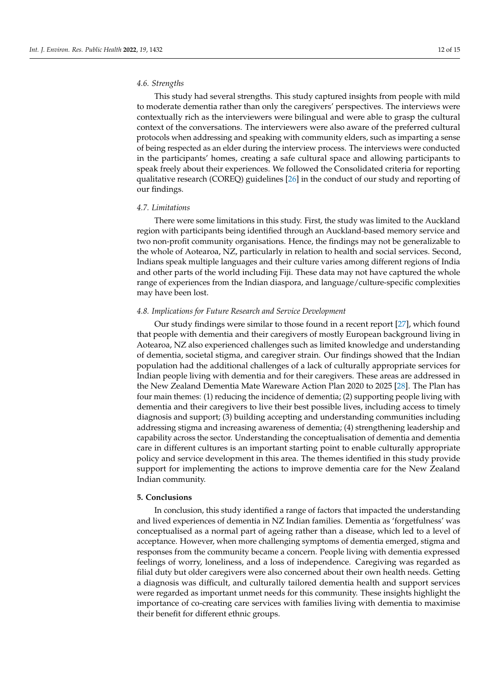#### *4.6. Strengths*

This study had several strengths. This study captured insights from people with mild to moderate dementia rather than only the caregivers' perspectives. The interviews were contextually rich as the interviewers were bilingual and were able to grasp the cultural context of the conversations. The interviewers were also aware of the preferred cultural protocols when addressing and speaking with community elders, such as imparting a sense of being respected as an elder during the interview process. The interviews were conducted in the participants' homes, creating a safe cultural space and allowing participants to speak freely about their experiences. We followed the Consolidated criteria for reporting qualitative research (COREQ) guidelines [\[26\]](#page-14-11) in the conduct of our study and reporting of our findings.

#### *4.7. Limitations*

There were some limitations in this study. First, the study was limited to the Auckland region with participants being identified through an Auckland-based memory service and two non-profit community organisations. Hence, the findings may not be generalizable to the whole of Aotearoa, NZ, particularly in relation to health and social services. Second, Indians speak multiple languages and their culture varies among different regions of India and other parts of the world including Fiji. These data may not have captured the whole range of experiences from the Indian diaspora, and language/culture-specific complexities may have been lost.

#### *4.8. Implications for Future Research and Service Development*

Our study findings were similar to those found in a recent report [\[27\]](#page-14-12), which found that people with dementia and their caregivers of mostly European background living in Aotearoa, NZ also experienced challenges such as limited knowledge and understanding of dementia, societal stigma, and caregiver strain. Our findings showed that the Indian population had the additional challenges of a lack of culturally appropriate services for Indian people living with dementia and for their caregivers. These areas are addressed in the New Zealand Dementia Mate Wareware Action Plan 2020 to 2025 [\[28\]](#page-14-13). The Plan has four main themes: (1) reducing the incidence of dementia; (2) supporting people living with dementia and their caregivers to live their best possible lives, including access to timely diagnosis and support; (3) building accepting and understanding communities including addressing stigma and increasing awareness of dementia; (4) strengthening leadership and capability across the sector. Understanding the conceptualisation of dementia and dementia care in different cultures is an important starting point to enable culturally appropriate policy and service development in this area. The themes identified in this study provide support for implementing the actions to improve dementia care for the New Zealand Indian community.

#### **5. Conclusions**

In conclusion, this study identified a range of factors that impacted the understanding and lived experiences of dementia in NZ Indian families. Dementia as 'forgetfulness' was conceptualised as a normal part of ageing rather than a disease, which led to a level of acceptance. However, when more challenging symptoms of dementia emerged, stigma and responses from the community became a concern. People living with dementia expressed feelings of worry, loneliness, and a loss of independence. Caregiving was regarded as filial duty but older caregivers were also concerned about their own health needs. Getting a diagnosis was difficult, and culturally tailored dementia health and support services were regarded as important unmet needs for this community. These insights highlight the importance of co-creating care services with families living with dementia to maximise their benefit for different ethnic groups.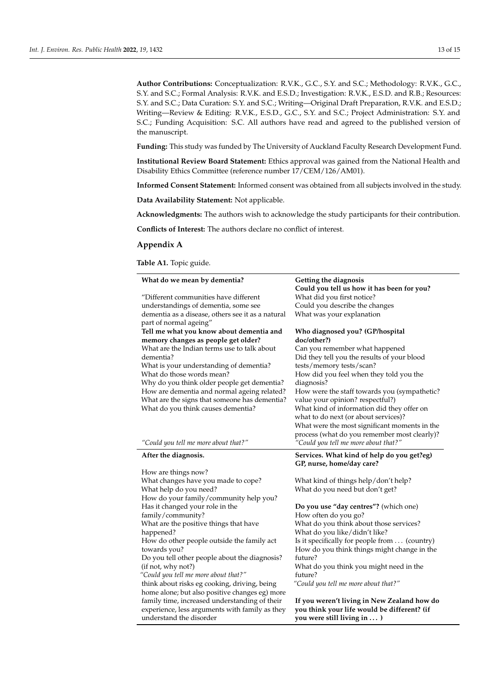**Author Contributions:** Conceptualization: R.V.K., G.C., S.Y. and S.C.; Methodology: R.V.K., G.C., S.Y. and S.C.; Formal Analysis: R.V.K. and E.S.D.; Investigation: R.V.K., E.S.D. and R.B.; Resources: S.Y. and S.C.; Data Curation: S.Y. and S.C.; Writing—Original Draft Preparation, R.V.K. and E.S.D.; Writing—Review & Editing: R.V.K., E.S.D., G.C., S.Y. and S.C.; Project Administration: S.Y. and S.C.; Funding Acquisition: S.C. All authors have read and agreed to the published version of the manuscript.

**Funding:** This study was funded by The University of Auckland Faculty Research Development Fund.

**Institutional Review Board Statement:** Ethics approval was gained from the National Health and Disability Ethics Committee (reference number 17/CEM/126/AM01).

**Informed Consent Statement:** Informed consent was obtained from all subjects involved in the study.

**Data Availability Statement:** Not applicable.

**Acknowledgments:** The authors wish to acknowledge the study participants for their contribution.

**Conflicts of Interest:** The authors declare no conflict of interest.

## <span id="page-12-0"></span>**Appendix A**

**Table A1.** Topic guide.

| What do we mean by dementia?                                                         | Getting the diagnosis                                  |
|--------------------------------------------------------------------------------------|--------------------------------------------------------|
|                                                                                      | Could you tell us how it has been for you?             |
| "Different communities have different                                                | What did you first notice?                             |
| understandings of dementia, some see                                                 | Could you describe the changes                         |
| dementia as a disease, others see it as a natural                                    | What was your explanation                              |
| part of normal ageing"                                                               |                                                        |
| Tell me what you know about dementia and                                             | Who diagnosed you? (GP/hospital                        |
| memory changes as people get older?                                                  | doc/other?)                                            |
| What are the Indian terms use to talk about                                          | Can you remember what happened                         |
| dementia?                                                                            | Did they tell you the results of your blood            |
| What is your understanding of dementia?                                              | tests/memory tests/scan?                               |
| What do those words mean?                                                            | How did you feel when they told you the                |
| Why do you think older people get dementia?                                          | diagnosis?                                             |
| How are dementia and normal ageing related?                                          | How were the staff towards you (sympathetic?           |
| What are the signs that someone has dementia?                                        | value your opinion? respectful?)                       |
| What do you think causes dementia?                                                   | What kind of information did they offer on             |
|                                                                                      | what to do next (or about services)?                   |
|                                                                                      | What were the most significant moments in the          |
|                                                                                      | process (what do you remember most clearly)?           |
| "Could you tell me more about that?"                                                 | "Could you tell me more about that?"                   |
|                                                                                      |                                                        |
| After the diagnosis.                                                                 | Services. What kind of help do you get?eg)             |
|                                                                                      | GP, nurse, home/day care?                              |
| How are things now?                                                                  |                                                        |
| What changes have you made to cope?                                                  | What kind of things help/don't help?                   |
| What help do you need?                                                               | What do you need but don't get?                        |
| How do your family/community help you?                                               |                                                        |
| Has it changed your role in the                                                      | Do you use "day centres"? (which one)                  |
| family/community?                                                                    | How often do you go?                                   |
| What are the positive things that have                                               | What do you think about those services?                |
| happened?                                                                            | What do you like/didn't like?                          |
| How do other people outside the family act                                           | Is it specifically for people from (country)           |
| towards you?                                                                         | How do you think things might change in the<br>future? |
| Do you tell other people about the diagnosis?                                        |                                                        |
| (if not, why not?)                                                                   | What do you think you might need in the<br>future?     |
| "Could you tell me more about that?"<br>think about risks eg cooking, driving, being | "Could you tell me more about that?"                   |
| home alone; but also positive changes eg) more                                       |                                                        |
| family time, increased understanding of their                                        | If you weren't living in New Zealand how do            |
| experience, less arguments with family as they                                       | you think your life would be different? (if            |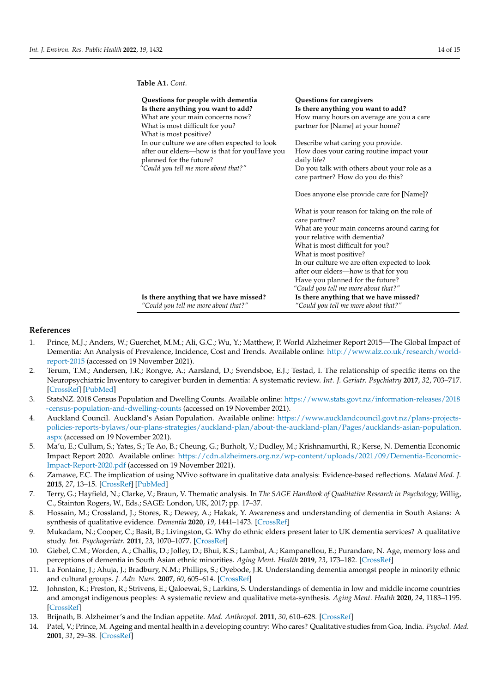| Questions for people with dementia                                             | Questions for caregivers                                                          |
|--------------------------------------------------------------------------------|-----------------------------------------------------------------------------------|
| Is there anything you want to add?                                             | Is there anything you want to add?                                                |
| What are your main concerns now?                                               | How many hours on average are you a care                                          |
| What is most difficult for you?                                                | partner for [Name] at your home?                                                  |
| What is most positive?                                                         |                                                                                   |
| In our culture we are often expected to look                                   | Describe what caring you provide.                                                 |
| after our elders-how is that for youHave you<br>planned for the future?        | How does your caring routine impact your<br>daily life?                           |
| "Could you tell me more about that?"                                           | Do you talk with others about your role as a<br>care partner? How do you do this? |
|                                                                                |                                                                                   |
|                                                                                | Does anyone else provide care for [Name]?                                         |
|                                                                                | What is your reason for taking on the role of                                     |
|                                                                                | care partner?                                                                     |
|                                                                                | What are your main concerns around caring for<br>your relative with dementia?     |
|                                                                                | What is most difficult for you?                                                   |
|                                                                                | What is most positive?                                                            |
|                                                                                | In our culture we are often expected to look                                      |
|                                                                                | after our elders—how is that for you                                              |
|                                                                                | Have you planned for the future?                                                  |
|                                                                                | "Could you tell me more about that?"                                              |
| Is there anything that we have missed?<br>"Could you tell me more about that?" | Is there anything that we have missed?<br>"Could you tell me more about that?"    |

**Table A1.** *Cont.*

### **References**

- <span id="page-13-0"></span>1. Prince, M.J.; Anders, W.; Guerchet, M.M.; Ali, G.C.; Wu, Y.; Matthew, P. World Alzheimer Report 2015—The Global Impact of Dementia: An Analysis of Prevalence, Incidence, Cost and Trends. Available online: [http://www.alz.co.uk/research/world](http://www.alz.co.uk/research/world-report-2015)[report-2015](http://www.alz.co.uk/research/world-report-2015) (accessed on 19 November 2021).
- <span id="page-13-1"></span>2. Terum, T.M.; Andersen, J.R.; Rongve, A.; Aarsland, D.; Svendsboe, E.J.; Testad, I. The relationship of specific items on the Neuropsychiatric Inventory to caregiver burden in dementia: A systematic review. *Int. J. Geriatr. Psychiatry* **2017**, *32*, 703–717. [\[CrossRef\]](http://doi.org/10.1002/gps.4704) [\[PubMed\]](http://www.ncbi.nlm.nih.gov/pubmed/28317166)
- <span id="page-13-2"></span>3. StatsNZ. 2018 Census Population and Dwelling Counts. Available online: [https://www.stats.govt.nz/information-releases/2018](https://www.stats.govt.nz/information-releases/2018-census-population-and-dwelling-counts) [-census-population-and-dwelling-counts](https://www.stats.govt.nz/information-releases/2018-census-population-and-dwelling-counts) (accessed on 19 November 2021).
- <span id="page-13-3"></span>4. Auckland Council. Auckland's Asian Population. Available online: [https://www.aucklandcouncil.govt.nz/plans-projects](https://www.aucklandcouncil.govt.nz/plans-projects-policies-reports-bylaws/our-plans-strategies/auckland-plan/about-the-auckland-plan/Pages/aucklands-asian-population.aspx)[policies-reports-bylaws/our-plans-strategies/auckland-plan/about-the-auckland-plan/Pages/aucklands-asian-population.](https://www.aucklandcouncil.govt.nz/plans-projects-policies-reports-bylaws/our-plans-strategies/auckland-plan/about-the-auckland-plan/Pages/aucklands-asian-population.aspx) [aspx](https://www.aucklandcouncil.govt.nz/plans-projects-policies-reports-bylaws/our-plans-strategies/auckland-plan/about-the-auckland-plan/Pages/aucklands-asian-population.aspx) (accessed on 19 November 2021).
- <span id="page-13-4"></span>5. Ma'u, E.; Cullum, S.; Yates, S.; Te Ao, B.; Cheung, G.; Burholt, V.; Dudley, M.; Krishnamurthi, R.; Kerse, N. Dementia Economic Impact Report 2020. Available online: [https://cdn.alzheimers.org.nz/wp-content/uploads/2021/09/Dementia-Economic-](https://cdn.alzheimers.org.nz/wp-content/uploads/2021/09/Dementia-Economic-Impact-Report-2020.pdf)[Impact-Report-2020.pdf](https://cdn.alzheimers.org.nz/wp-content/uploads/2021/09/Dementia-Economic-Impact-Report-2020.pdf) (accessed on 19 November 2021).
- <span id="page-13-5"></span>6. Zamawe, F.C. The implication of using NVivo software in qualitative data analysis: Evidence-based reflections. *Malawi Med. J.* **2015**, *27*, 13–15. [\[CrossRef\]](http://doi.org/10.4314/mmj.v27i1.4) [\[PubMed\]](http://www.ncbi.nlm.nih.gov/pubmed/26137192)
- <span id="page-13-6"></span>7. Terry, G.; Hayfield, N.; Clarke, V.; Braun, V. Thematic analysis. In *The SAGE Handbook of Qualitative Research in Psychology*; Willig, C., Stainton Rogers, W., Eds.; SAGE: London, UK, 2017; pp. 17–37.
- <span id="page-13-7"></span>8. Hossain, M.; Crossland, J.; Stores, R.; Dewey, A.; Hakak, Y. Awareness and understanding of dementia in South Asians: A synthesis of qualitative evidence. *Dementia* **2020**, *19*, 1441–1473. [\[CrossRef\]](http://doi.org/10.1177/1471301218800641)
- <span id="page-13-8"></span>9. Mukadam, N.; Cooper, C.; Basit, B.; Livingston, G. Why do ethnic elders present later to UK dementia services? A qualitative study. *Int. Psychogeriatr.* **2011**, *23*, 1070–1077. [\[CrossRef\]](http://doi.org/10.1017/S1041610211000214)
- <span id="page-13-9"></span>10. Giebel, C.M.; Worden, A.; Challis, D.; Jolley, D.; Bhui, K.S.; Lambat, A.; Kampanellou, E.; Purandare, N. Age, memory loss and perceptions of dementia in South Asian ethnic minorities. *Aging Ment. Health* **2019**, *23*, 173–182. [\[CrossRef\]](http://doi.org/10.1080/13607863.2017.1408772)
- <span id="page-13-10"></span>11. La Fontaine, J.; Ahuja, J.; Bradbury, N.M.; Phillips, S.; Oyebode, J.R. Understanding dementia amongst people in minority ethnic and cultural groups. *J. Adv. Nurs.* **2007**, *60*, 605–614. [\[CrossRef\]](http://doi.org/10.1111/j.1365-2648.2007.04444.x)
- <span id="page-13-11"></span>12. Johnston, K.; Preston, R.; Strivens, E.; Qaloewai, S.; Larkins, S. Understandings of dementia in low and middle income countries and amongst indigenous peoples: A systematic review and qualitative meta-synthesis. *Aging Ment. Health* **2020**, *24*, 1183–1195. [\[CrossRef\]](http://doi.org/10.1080/13607863.2019.1606891)
- <span id="page-13-12"></span>13. Brijnath, B. Alzheimer's and the Indian appetite. *Med. Anthropol.* **2011**, *30*, 610–628. [\[CrossRef\]](http://doi.org/10.1080/01459740.2011.582473)
- <span id="page-13-13"></span>14. Patel, V.; Prince, M. Ageing and mental health in a developing country: Who cares? Qualitative studies from Goa, India. *Psychol. Med.* **2001**, *31*, 29–38. [\[CrossRef\]](http://doi.org/10.1017/S0033291799003098)